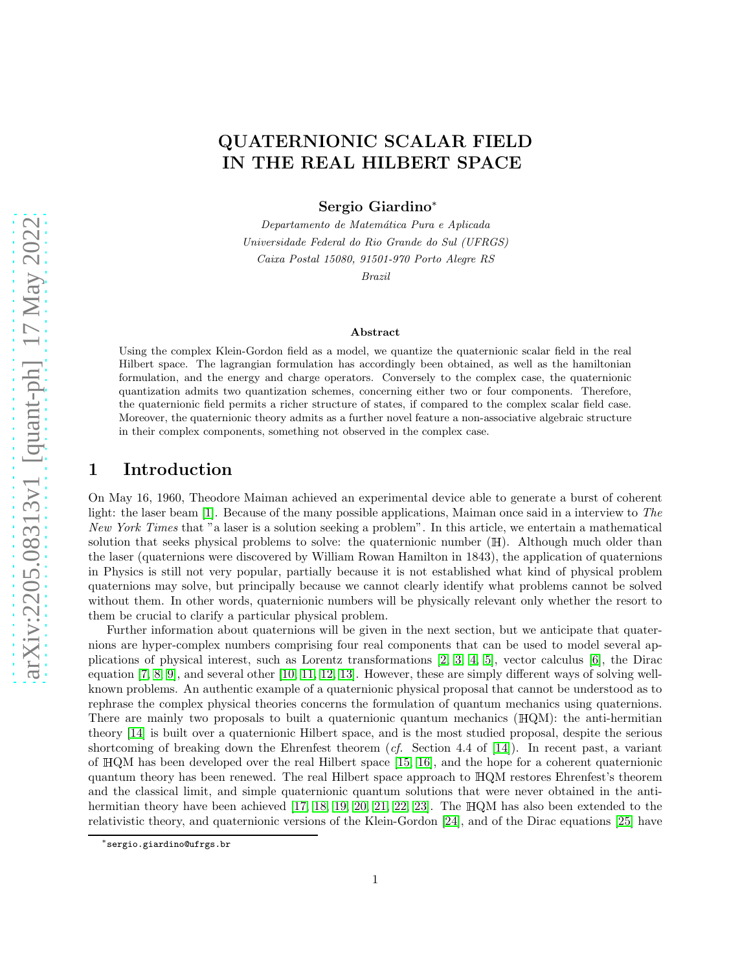# arXiv:2205.08313v1 [quant-ph] 17 May 2022 [arXiv:2205.08313v1 \[quant-ph\] 17 May 2022](http://arxiv.org/abs/2205.08313v1)

# QUATERNIONIC SCALAR FIELD IN THE REAL HILBERT SPACE

Sergio Giardino<sup>∗</sup>

Departamento de Matemática Pura e Aplicada Universidade Federal do Rio Grande do Sul (UFRGS) Caixa Postal 15080, 91501-970 Porto Alegre RS

Brazil

### Abstract

Using the complex Klein-Gordon field as a model, we quantize the quaternionic scalar field in the real Hilbert space. The lagrangian formulation has accordingly been obtained, as well as the hamiltonian formulation, and the energy and charge operators. Conversely to the complex case, the quaternionic quantization admits two quantization schemes, concerning either two or four components. Therefore, the quaternionic field permits a richer structure of states, if compared to the complex scalar field case. Moreover, the quaternionic theory admits as a further novel feature a non-associative algebraic structure in their complex components, something not observed in the complex case.

# 1 Introduction

On May 16, 1960, Theodore Maiman achieved an experimental device able to generate a burst of coherent light: the laser beam [\[1\]](#page-6-0). Because of the many possible applications, Maiman once said in a interview to The New York Times that "a laser is a solution seeking a problem". In this article, we entertain a mathematical solution that seeks physical problems to solve: the quaternionic number (H). Although much older than the laser (quaternions were discovered by William Rowan Hamilton in 1843), the application of quaternions in Physics is still not very popular, partially because it is not established what kind of physical problem quaternions may solve, but principally because we cannot clearly identify what problems cannot be solved without them. In other words, quaternionic numbers will be physically relevant only whether the resort to them be crucial to clarify a particular physical problem.

Further information about quaternions will be given in the next section, but we anticipate that quaternions are hyper-complex numbers comprising four real components that can be used to model several applications of physical interest, such as Lorentz transformations [\[2,](#page-6-1) [3,](#page-6-2) [4,](#page-6-3) [5\]](#page-6-4), vector calculus [\[6\]](#page-6-5), the Dirac equation [\[7,](#page-6-6) [8,](#page-6-7) [9\]](#page-6-8), and several other [\[10,](#page-6-9) [11,](#page-6-10) [12,](#page-6-11) [13\]](#page-6-12). However, these are simply different ways of solving wellknown problems. An authentic example of a quaternionic physical proposal that cannot be understood as to rephrase the complex physical theories concerns the formulation of quantum mechanics using quaternions. There are mainly two proposals to built a quaternionic quantum mechanics (HQM): the anti-hermitian theory [\[14\]](#page-6-13) is built over a quaternionic Hilbert space, and is the most studied proposal, despite the serious shortcoming of breaking down the Ehrenfest theorem (*cf.* Section 4.4 of [\[14\]](#page-6-13)). In recent past, a variant of <sup>H</sup>QM has been developed over the real Hilbert space [\[15,](#page-6-14) [16\]](#page-7-0), and the hope for a coherent quaternionic quantum theory has been renewed. The real Hilbert space approach to <sup>H</sup>QM restores Ehrenfest's theorem and the classical limit, and simple quaternionic quantum solutions that were never obtained in the antihermitian theory have been achieved [\[17,](#page-7-1) [18,](#page-7-2) [19,](#page-7-3) [20,](#page-7-4) [21,](#page-7-5) [22,](#page-7-6) [23\]](#page-7-7). The <sup>H</sup>QM has also been extended to the relativistic theory, and quaternionic versions of the Klein-Gordon [\[24\]](#page-7-8), and of the Dirac equations [\[25\]](#page-7-9) have

<sup>∗</sup>sergio.giardino@ufrgs.br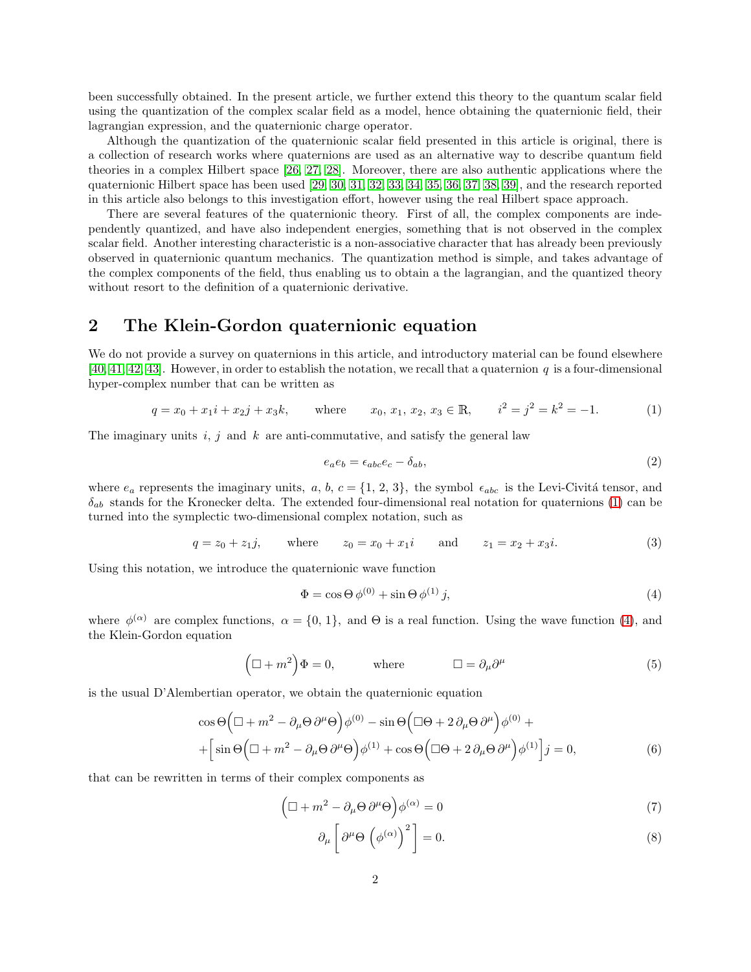been successfully obtained. In the present article, we further extend this theory to the quantum scalar field using the quantization of the complex scalar field as a model, hence obtaining the quaternionic field, their lagrangian expression, and the quaternionic charge operator.

Although the quantization of the quaternionic scalar field presented in this article is original, there is a collection of research works where quaternions are used as an alternative way to describe quantum field theories in a complex Hilbert space [\[26,](#page-7-10) [27,](#page-7-11) [28\]](#page-7-12). Moreover, there are also authentic applications where the quaternionic Hilbert space has been used [\[29,](#page-7-13) [30,](#page-7-14) [31,](#page-7-15) [32,](#page-7-16) [33,](#page-7-17) [34,](#page-7-18) [35,](#page-7-19) [36,](#page-7-20) [37,](#page-7-21) [38,](#page-7-22) [39\]](#page-7-23), and the research reported in this article also belongs to this investigation effort, however using the real Hilbert space approach.

There are several features of the quaternionic theory. First of all, the complex components are independently quantized, and have also independent energies, something that is not observed in the complex scalar field. Another interesting characteristic is a non-associative character that has already been previously observed in quaternionic quantum mechanics. The quantization method is simple, and takes advantage of the complex components of the field, thus enabling us to obtain a the lagrangian, and the quantized theory without resort to the definition of a quaternionic derivative.

# 2 The Klein-Gordon quaternionic equation

We do not provide a survey on quaternions in this article, and introductory material can be found elsewhere [\[40,](#page-7-24) [41,](#page-7-25) [42,](#page-7-26) [43\]](#page-7-27). However, in order to establish the notation, we recall that a quaternion q is a four-dimensional hyper-complex number that can be written as

<span id="page-1-0"></span>
$$
q = x_0 + x_1 i + x_2 j + x_3 k, \qquad \text{where} \qquad x_0, x_1, x_2, x_3 \in \mathbb{R}, \qquad i^2 = j^2 = k^2 = -1. \tag{1}
$$

The imaginary units i, j and k are anti-commutative, and satisfy the general law

$$
e_a e_b = \epsilon_{abc} e_c - \delta_{ab},\tag{2}
$$

where  $e_a$  represents the imaginary units, a, b,  $c = \{1, 2, 3\}$ , the symbol  $\epsilon_{abc}$  is the Levi-Civitá tensor, and  $\delta_{ab}$  stands for the Kronecker delta. The extended four-dimensional real notation for quaternions [\(1\)](#page-1-0) can be turned into the symplectic two-dimensional complex notation, such as

$$
q = z_0 + z_1 j
$$
, where  $z_0 = x_0 + x_1 i$  and  $z_1 = x_2 + x_3 i$ . (3)

Using this notation, we introduce the quaternionic wave function

<span id="page-1-1"></span>
$$
\Phi = \cos \Theta \, \phi^{(0)} + \sin \Theta \, \phi^{(1)} \, j,\tag{4}
$$

where  $\phi^{(\alpha)}$  are complex functions,  $\alpha = \{0, 1\}$ , and  $\Theta$  is a real function. Using the wave function [\(4\)](#page-1-1), and the Klein-Gordon equation

$$
(\Box + m^2)\Phi = 0, \qquad \text{where} \qquad \Box = \partial_\mu \partial^\mu \qquad (5)
$$

is the usual D'Alembertian operator, we obtain the quaternionic equation

$$
\cos\Theta\Big(\Box + m^2 - \partial_\mu\Theta\,\partial^\mu\Theta\Big)\phi^{(0)} - \sin\Theta\Big(\Box\Theta + 2\,\partial_\mu\Theta\,\partial^\mu\Big)\phi^{(0)} ++ \Big[\sin\Theta\Big(\Box + m^2 - \partial_\mu\Theta\,\partial^\mu\Theta\Big)\phi^{(1)} + \cos\Theta\Big(\Box\Theta + 2\,\partial_\mu\Theta\,\partial^\mu\Big)\phi^{(1)}\Big]j = 0,
$$
\n(6)

that can be rewritten in terms of their complex components as

<span id="page-1-2"></span>
$$
\left(\Box + m^2 - \partial_{\mu}\Theta \,\partial^{\mu}\Theta\right)\phi^{(\alpha)} = 0\tag{7}
$$

$$
\partial_{\mu} \left[ \partial^{\mu} \Theta \left( \phi^{(\alpha)} \right)^{2} \right] = 0. \tag{8}
$$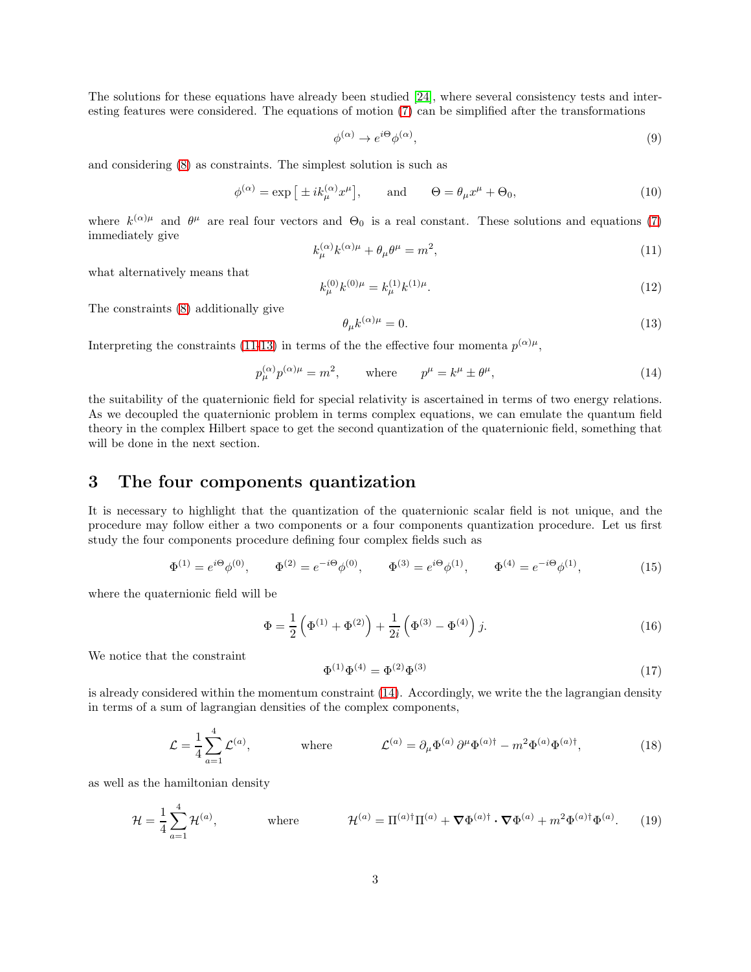The solutions for these equations have already been studied [\[24\]](#page-7-8), where several consistency tests and interesting features were considered. The equations of motion [\(7\)](#page-1-2) can be simplified after the transformations

$$
\phi^{(\alpha)} \to e^{i\Theta} \phi^{(\alpha)},\tag{9}
$$

and considering [\(8\)](#page-1-2) as constraints. The simplest solution is such as

$$
\phi^{(\alpha)} = \exp\left[\pm ik_{\mu}^{(\alpha)}x^{\mu}\right], \quad \text{and} \quad \Theta = \theta_{\mu}x^{\mu} + \Theta_0,
$$
\n(10)

where  $k^{(\alpha)\mu}$  and  $\theta^{\mu}$  are real four vectors and  $\Theta_0$  is a real constant. These solutions and equations [\(7\)](#page-1-2) immediately give

<span id="page-2-0"></span>
$$
k_{\mu}^{(\alpha)}k^{(\alpha)\mu} + \theta_{\mu}\theta^{\mu} = m^2,\tag{11}
$$

what alternatively means that

$$
k_{\mu}^{(0)}k^{(0)\mu} = k_{\mu}^{(1)}k^{(1)\mu}.
$$
\n(12)

The constraints [\(8\)](#page-1-2) additionally give

<span id="page-2-1"></span>
$$
\theta_{\mu}k^{(\alpha)\mu} = 0. \tag{13}
$$

Interpreting the constraints [\(11-](#page-2-0)[13\)](#page-2-1) in terms of the the effective four momenta  $p^{(\alpha)\mu}$ ,

<span id="page-2-2"></span>
$$
p_{\mu}^{(\alpha)} p^{(\alpha)\mu} = m^2, \qquad \text{where} \qquad p^{\mu} = k^{\mu} \pm \theta^{\mu}, \tag{14}
$$

the suitability of the quaternionic field for special relativity is ascertained in terms of two energy relations. As we decoupled the quaternionic problem in terms complex equations, we can emulate the quantum field theory in the complex Hilbert space to get the second quantization of the quaternionic field, something that will be done in the next section.

# 3 The four components quantization

It is necessary to highlight that the quantization of the quaternionic scalar field is not unique, and the procedure may follow either a two components or a four components quantization procedure. Let us first study the four components procedure defining four complex fields such as

<span id="page-2-5"></span>
$$
\Phi^{(1)} = e^{i\Theta} \phi^{(0)}, \qquad \Phi^{(2)} = e^{-i\Theta} \phi^{(0)}, \qquad \Phi^{(3)} = e^{i\Theta} \phi^{(1)}, \qquad \Phi^{(4)} = e^{-i\Theta} \phi^{(1)}, \tag{15}
$$

where the quaternionic field will be

<span id="page-2-6"></span>
$$
\Phi = \frac{1}{2} \left( \Phi^{(1)} + \Phi^{(2)} \right) + \frac{1}{2i} \left( \Phi^{(3)} - \Phi^{(4)} \right) j. \tag{16}
$$

We notice that the constraint

$$
\Phi^{(1)}\Phi^{(4)} = \Phi^{(2)}\Phi^{(3)}\tag{17}
$$

is already considered within the momentum constraint [\(14\)](#page-2-2). Accordingly, we write the the lagrangian density in terms of a sum of lagrangian densities of the complex components,

<span id="page-2-3"></span>
$$
\mathcal{L} = \frac{1}{4} \sum_{a=1}^{4} \mathcal{L}^{(a)}, \qquad \text{where} \qquad \mathcal{L}^{(a)} = \partial_{\mu} \Phi^{(a)} \partial^{\mu} \Phi^{(a) \dagger} - m^2 \Phi^{(a)} \Phi^{(a) \dagger}, \qquad (18)
$$

as well as the hamiltonian density

<span id="page-2-4"></span>
$$
\mathcal{H} = \frac{1}{4} \sum_{a=1}^{4} \mathcal{H}^{(a)}, \qquad \text{where} \qquad \mathcal{H}^{(a)} = \Pi^{(a)\dagger} \Pi^{(a)} + \nabla \Phi^{(a)\dagger} \cdot \nabla \Phi^{(a)} + m^2 \Phi^{(a)\dagger} \Phi^{(a)}.
$$
 (19)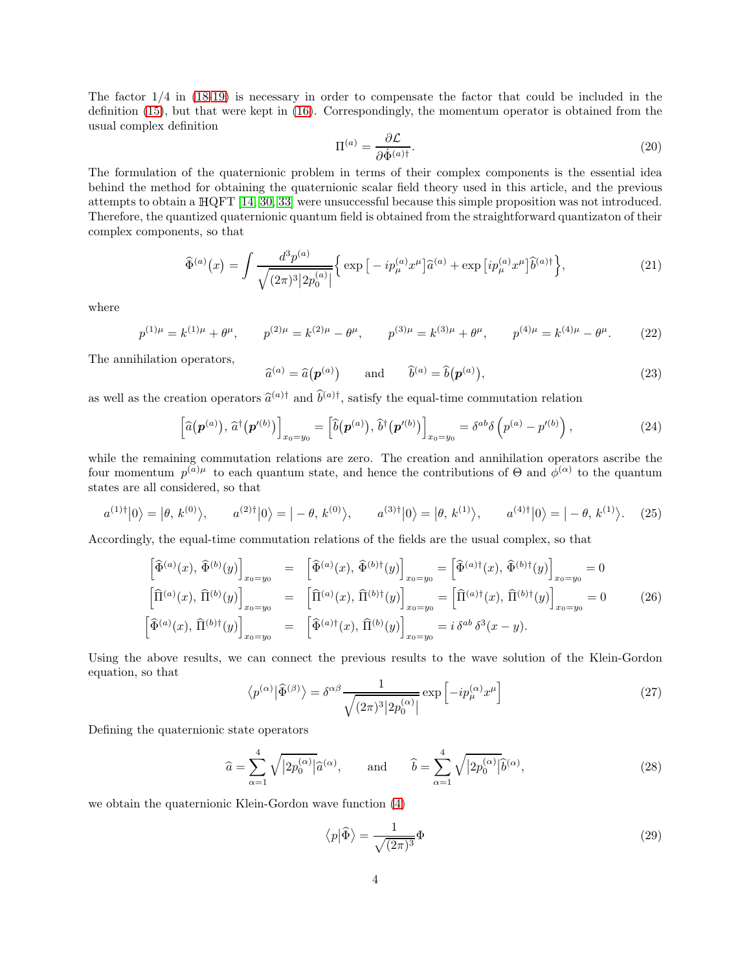The factor 1/4 in [\(18](#page-2-3)[-19\)](#page-2-4) is necessary in order to compensate the factor that could be included in the definition [\(15\)](#page-2-5), but that were kept in [\(16\)](#page-2-6). Correspondingly, the momentum operator is obtained from the usual complex definition

$$
\Pi^{(a)} = \frac{\partial \mathcal{L}}{\partial \dot{\Phi}^{(a)\dagger}}.
$$
\n(20)

The formulation of the quaternionic problem in terms of their complex components is the essential idea behind the method for obtaining the quaternionic scalar field theory used in this article, and the previous attempts to obtain a <sup>H</sup>QFT [\[14,](#page-6-13) [30,](#page-7-14) [33\]](#page-7-17) were unsuccessful because this simple proposition was not introduced. Therefore, the quantized quaternionic quantum field is obtained from the straightforward quantizaton of their complex components, so that

<span id="page-3-3"></span>
$$
\widehat{\Phi}^{(a)}(x) = \int \frac{d^3 p^{(a)}}{\sqrt{(2\pi)^3 |2p_0^{(a)}|}} \Big\{ \exp\big[-ip_\mu^{(a)} x^\mu\big]\widehat{a}^{(a)} + \exp\big[i p_\mu^{(a)} x^\mu\big]\widehat{b}^{(a)\dagger} \Big\},\tag{21}
$$

where

$$
p^{(1)\mu} = k^{(1)\mu} + \theta^{\mu}, \qquad p^{(2)\mu} = k^{(2)\mu} - \theta^{\mu}, \qquad p^{(3)\mu} = k^{(3)\mu} + \theta^{\mu}, \qquad p^{(4)\mu} = k^{(4)\mu} - \theta^{\mu}.
$$
 (22)

The annihilation operators,

$$
\widehat{a}^{(a)} = \widehat{a}(\mathbf{p}^{(a)}) \quad \text{and} \quad \widehat{b}^{(a)} = \widehat{b}(\mathbf{p}^{(a)}), \tag{23}
$$

as well as the creation operators  $\hat{a}^{(a)\dagger}$  and  $\hat{b}^{(a)\dagger}$ , satisfy the equal-time commutation relation

<span id="page-3-2"></span>
$$
\left[\widehat{a}(\boldsymbol{p}^{(a)}),\widehat{a}^{\dagger}(\boldsymbol{p}'^{(b)})\right]_{x_0=y_0} = \left[\widehat{b}(\boldsymbol{p}^{(a)}),\widehat{b}^{\dagger}(\boldsymbol{p}'^{(b)})\right]_{x_0=y_0} = \delta^{ab}\delta\left(p^{(a)}-p'^{(b)}\right),\tag{24}
$$

while the remaining commutation relations are zero. The creation and annihilation operators ascribe the four momentum  $p^{(a)\mu}$  to each quantum state, and hence the contributions of  $\Theta$  and  $\phi^{(\alpha)}$  to the quantum states are all considered, so that

$$
a^{(1)\dagger}|0\rangle = |\theta, k^{(0)}\rangle, \qquad a^{(2)\dagger}|0\rangle = |-\theta, k^{(0)}\rangle, \qquad a^{(3)\dagger}|0\rangle = |\theta, k^{(1)}\rangle, \qquad a^{(4)\dagger}|0\rangle = |-\theta, k^{(1)}\rangle. \tag{25}
$$

Accordingly, the equal-time commutation relations of the fields are the usual complex, so that

<span id="page-3-1"></span>
$$
\begin{aligned}\n\left[\widehat{\Phi}^{(a)}(x), \widehat{\Phi}^{(b)}(y)\right]_{x_0 = y_0} &= \left[\widehat{\Phi}^{(a)}(x), \widehat{\Phi}^{(b)\dagger}(y)\right]_{x_0 = y_0} = \left[\widehat{\Phi}^{(a)\dagger}(x), \widehat{\Phi}^{(b)\dagger}(y)\right]_{x_0 = y_0} = 0 \\
\left[\widehat{\Pi}^{(a)}(x), \widehat{\Pi}^{(b)}(y)\right]_{x_0 = y_0} &= \left[\widehat{\Pi}^{(a)}(x), \widehat{\Pi}^{(b)\dagger}(y)\right]_{x_0 = y_0} = \left[\widehat{\Pi}^{(a)\dagger}(x), \widehat{\Pi}^{(b)\dagger}(y)\right]_{x_0 = y_0} = 0\n\end{aligned} \tag{26}
$$
\n
$$
\left[\widehat{\Phi}^{(a)}(x), \widehat{\Pi}^{(b)\dagger}(y)\right]_{x_0 = y_0} = \left[\widehat{\Phi}^{(a)\dagger}(x), \widehat{\Pi}^{(b)}(y)\right]_{x_0 = y_0} = i \delta^{ab} \delta^3(x - y).
$$

Using the above results, we can connect the previous results to the wave solution of the Klein-Gordon equation, so that

$$
\langle p^{(\alpha)} | \hat{\Phi}^{(\beta)} \rangle = \delta^{\alpha \beta} \frac{1}{\sqrt{(2\pi)^3 |2p_0^{(\alpha)}|}} \exp\left[-ip_\mu^{(\alpha)} x^\mu\right]
$$
 (27)

Defining the quaternionic state operators

$$
\widehat{a} = \sum_{\alpha=1}^{4} \sqrt{|2p_0^{(\alpha)}|} \widehat{a}^{(\alpha)}, \quad \text{and} \quad \widehat{b} = \sum_{\alpha=1}^{4} \sqrt{|2p_0^{(\alpha)}|} \widehat{b}^{(\alpha)}, \tag{28}
$$

we obtain the quaternionic Klein-Gordon wave function [\(4\)](#page-1-1)

<span id="page-3-0"></span>
$$
\langle p|\hat{\Phi}\rangle = \frac{1}{\sqrt{(2\pi)^3}}\Phi\tag{29}
$$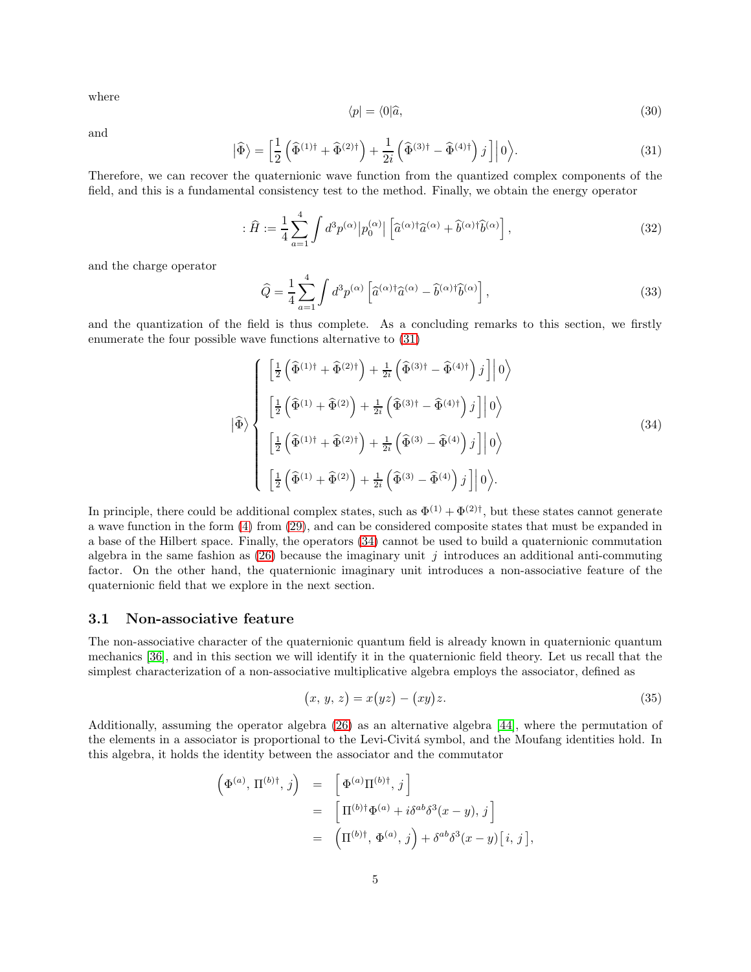where

$$
\langle p| = \langle 0|\hat{a},\tag{30}
$$

and

<span id="page-4-0"></span>
$$
\left|\widehat{\Phi}\right\rangle = \left[\frac{1}{2}\left(\widehat{\Phi}^{(1)\dagger} + \widehat{\Phi}^{(2)\dagger}\right) + \frac{1}{2i}\left(\widehat{\Phi}^{(3)\dagger} - \widehat{\Phi}^{(4)\dagger}\right)j\right]\right|0\big\rangle. \tag{31}
$$

Therefore, we can recover the quaternionic wave function from the quantized complex components of the field, and this is a fundamental consistency test to the method. Finally, we obtain the energy operator

<span id="page-4-2"></span>
$$
\hat{H} := \frac{1}{4} \sum_{\alpha=1}^{4} \int d^3 p^{(\alpha)} |p_0^{(\alpha)}| \left[ \hat{a}^{(\alpha)\dagger} \hat{a}^{(\alpha)} + \hat{b}^{(\alpha)\dagger} \hat{b}^{(\alpha)} \right],\tag{32}
$$

and the charge operator

<span id="page-4-3"></span>
$$
\widehat{Q} = \frac{1}{4} \sum_{\alpha=1}^{4} \int d^3 p^{(\alpha)} \left[ \widehat{a}^{(\alpha)\dagger} \widehat{a}^{(\alpha)} - \widehat{b}^{(\alpha)\dagger} \widehat{b}^{(\alpha)} \right],\tag{33}
$$

and the quantization of the field is thus complete. As a concluding remarks to this section, we firstly enumerate the four possible wave functions alternative to [\(31\)](#page-4-0)

<span id="page-4-1"></span>
$$
\left| \widehat{\Phi} \right\rangle = \begin{cases}\n\left[ \frac{1}{2} \left( \widehat{\Phi}^{(1)\dagger} + \widehat{\Phi}^{(2)\dagger} \right) + \frac{1}{2i} \left( \widehat{\Phi}^{(3)\dagger} - \widehat{\Phi}^{(4)\dagger} \right) j \right] \middle| 0 \right\rangle \\
\left[ \frac{1}{2} \left( \widehat{\Phi}^{(1)} + \widehat{\Phi}^{(2)} \right) + \frac{1}{2i} \left( \widehat{\Phi}^{(3)\dagger} - \widehat{\Phi}^{(4)\dagger} \right) j \right] \middle| 0 \right\rangle \\
\left[ \frac{1}{2} \left( \widehat{\Phi}^{(1)\dagger} + \widehat{\Phi}^{(2)\dagger} \right) + \frac{1}{2i} \left( \widehat{\Phi}^{(3)} - \widehat{\Phi}^{(4)} \right) j \right] \middle| 0 \right\rangle \\
\left[ \frac{1}{2} \left( \widehat{\Phi}^{(1)} + \widehat{\Phi}^{(2)} \right) + \frac{1}{2i} \left( \widehat{\Phi}^{(3)} - \widehat{\Phi}^{(4)} \right) j \right] \middle| 0 \right\rangle.\n\end{cases} \tag{34}
$$

In principle, there could be additional complex states, such as  $\Phi^{(1)} + \Phi^{(2)}$ <sup>†</sup>, but these states cannot generate a wave function in the form [\(4\)](#page-1-1) from [\(29\)](#page-3-0), and can be considered composite states that must be expanded in a base of the Hilbert space. Finally, the operators [\(34\)](#page-4-1) cannot be used to build a quaternionic commutation algebra in the same fashion as  $(26)$  because the imaginary unit j introduces an additional anti-commuting factor. On the other hand, the quaternionic imaginary unit introduces a non-associative feature of the quaternionic field that we explore in the next section.

### 3.1 Non-associative feature

The non-associative character of the quaternionic quantum field is already known in quaternionic quantum mechanics [\[36\]](#page-7-20), and in this section we will identify it in the quaternionic field theory. Let us recall that the simplest characterization of a non-associative multiplicative algebra employs the associator, defined as

$$
(x, y, z) = x(yz) - (xy)z.
$$
 (35)

Additionally, assuming the operator algebra [\(26\)](#page-3-1) as an alternative algebra [\[44\]](#page-7-28), where the permutation of the elements in a associator is proportional to the Levi-Civitá symbol, and the Moufang identities hold. In this algebra, it holds the identity between the associator and the commutator

$$
\begin{array}{rcl} \left( \Phi^{(a)},\, \Pi^{(b)\dagger},\, j \right) & = & \left[ \Phi^{(a)}\Pi^{(b)\dagger},\, j \right] \\ & = & \left[ \Pi^{(b)\dagger}\Phi^{(a)} + i \delta^{ab}\delta^3(x-y),\, j \right] \\ & = & \left( \Pi^{(b)\dagger},\, \Phi^{(a)},\, j \right) + \delta^{ab}\delta^3(x-y) \big[ \, i,\, j \, \big], \end{array}
$$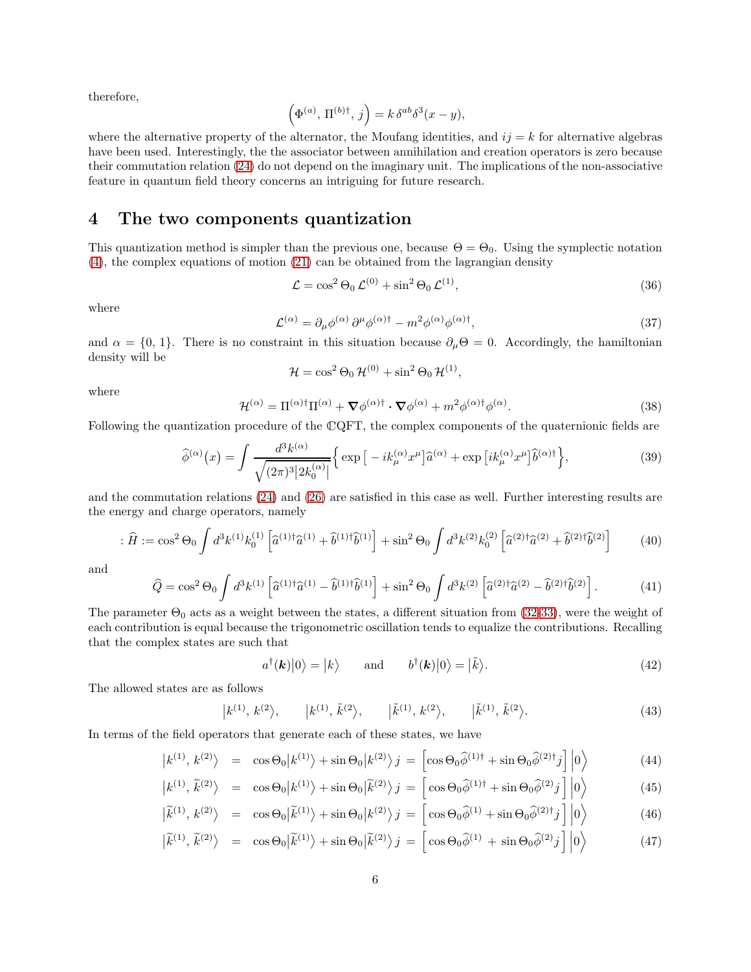therefore,

$$
\left(\Phi^{(a)},\,\Pi^{(b)\dagger},\,j\right) = k\,\delta^{ab}\delta^3(x-y),
$$

where the alternative property of the alternator, the Moufang identities, and  $ij = k$  for alternative algebras have been used. Interestingly, the the associator between annihilation and creation operators is zero because their commutation relation [\(24\)](#page-3-2) do not depend on the imaginary unit. The implications of the non-associative feature in quantum field theory concerns an intriguing for future research.

### 4 The two components quantization

This quantization method is simpler than the previous one, because  $\Theta = \Theta_0$ . Using the symplectic notation [\(4\)](#page-1-1), the complex equations of motion [\(21\)](#page-3-3) can be obtained from the lagrangian density

$$
\mathcal{L} = \cos^2 \Theta_0 \mathcal{L}^{(0)} + \sin^2 \Theta_0 \mathcal{L}^{(1)},\tag{36}
$$

where

$$
\mathcal{L}^{(\alpha)} = \partial_{\mu}\phi^{(\alpha)}\,\partial^{\mu}\phi^{(\alpha)\dagger} - m^2\phi^{(\alpha)}\phi^{(\alpha)\dagger},\tag{37}
$$

and  $\alpha = \{0, 1\}$ . There is no constraint in this situation because  $\partial_{\mu} \Theta = 0$ . Accordingly, the hamiltonian density will be

$$
\mathcal{H} = \cos^2 \Theta_0 \, \mathcal{H}^{(0)} + \sin^2 \Theta_0 \, \mathcal{H}^{(1)},
$$

where

$$
\mathcal{H}^{(\alpha)} = \Pi^{(\alpha)\dagger}\Pi^{(\alpha)} + \nabla\phi^{(\alpha)\dagger} \cdot \nabla\phi^{(\alpha)} + m^2\phi^{(\alpha)\dagger}\phi^{(\alpha)}.
$$
\n(38)

Following the quantization procedure of the <sup>C</sup>QFT, the complex components of the quaternionic fields are

$$
\widehat{\phi}^{(\alpha)}(x) = \int \frac{d^3k^{(\alpha)}}{\sqrt{(2\pi)^3|2k_0^{(\alpha)}|}} \Big\{ \exp\big[-ik_{\mu}^{(\alpha)}x^{\mu}\big]\widehat{a}^{(\alpha)} + \exp\big[ik_{\mu}^{(\alpha)}x^{\mu}\big]\widehat{b}^{(\alpha)\dagger}\Big\},\tag{39}
$$

and the commutation relations [\(24\)](#page-3-2) and [\(26\)](#page-3-1) are satisfied in this case as well. Further interesting results are the energy and charge operators, namely

$$
\hat{H} := \cos^2 \Theta_0 \int d^3 k^{(1)} k_0^{(1)} \left[ \hat{a}^{(1)\dagger} \hat{a}^{(1)} + \hat{b}^{(1)\dagger} \hat{b}^{(1)} \right] + \sin^2 \Theta_0 \int d^3 k^{(2)} k_0^{(2)} \left[ \hat{a}^{(2)\dagger} \hat{a}^{(2)} + \hat{b}^{(2)\dagger} \hat{b}^{(2)} \right] \tag{40}
$$

and

$$
\hat{Q} = \cos^2 \Theta_0 \int d^3 k^{(1)} \left[ \hat{a}^{(1)\dagger} \hat{a}^{(1)} - \hat{b}^{(1)\dagger} \hat{b}^{(1)} \right] + \sin^2 \Theta_0 \int d^3 k^{(2)} \left[ \hat{a}^{(2)\dagger} \hat{a}^{(2)} - \hat{b}^{(2)\dagger} \hat{b}^{(2)} \right].
$$
 (41)

The parameter  $\Theta_0$  acts as a weight between the states, a different situation from [\(32](#page-4-2)[-33\)](#page-4-3), were the weight of each contribution is equal because the trigonometric oscillation tends to equalize the contributions. Recalling that the complex states are such that

$$
a^{\dagger}(\mathbf{k})|0\rangle = |k\rangle \quad \text{and} \quad b^{\dagger}(\mathbf{k})|0\rangle = |\tilde{k}\rangle. \tag{42}
$$

The allowed states are as follows

$$
|k^{(1)}, k^{(2)}, \t |k^{(1)}, \tilde{k}^{(2)}, \t |\tilde{k}^{(1)}, k^{(2)}, \t |\tilde{k}^{(1)}, \tilde{k}^{(2)}.
$$
 (43)

In terms of the field operators that generate each of these states, we have

$$
\left|k^{(1)}, k^{(2)}\right\rangle = \cos\Theta_0 \left|k^{(1)}\right\rangle + \sin\Theta_0 \left|k^{(2)}\right\rangle j = \left[\cos\Theta_0 \widehat{\phi}^{(1)\dagger} + \sin\Theta_0 \widehat{\phi}^{(2)\dagger} j\right] \left|0\right\rangle \tag{44}
$$

$$
\left| k^{(1)}, \tilde{k}^{(2)} \right\rangle = \cos \Theta_0 \left| k^{(1)} \right\rangle + \sin \Theta_0 \left| \tilde{k}^{(2)} \right\rangle j = \left[ \cos \Theta_0 \hat{\phi}^{(1)\dagger} + \sin \Theta_0 \hat{\phi}^{(2)} j \right] \left| 0 \right\rangle \tag{45}
$$

$$
\left| \widetilde{k}^{(1)}, k^{(2)} \right\rangle = \cos \Theta_0 \left| \widetilde{k}^{(1)} \right\rangle + \sin \Theta_0 \left| k^{(2)} \right\rangle j = \left[ \cos \Theta_0 \widehat{\phi}^{(1)} + \sin \Theta_0 \widehat{\phi}^{(2)\dagger} j \right] \left| 0 \right\rangle \tag{46}
$$

$$
\left| \widetilde{k}^{(1)}, \widetilde{k}^{(2)} \right\rangle = \cos \Theta_0 \left| \widetilde{k}^{(1)} \right\rangle + \sin \Theta_0 \left| \widetilde{k}^{(2)} \right\rangle j = \left[ \cos \Theta_0 \widehat{\phi}^{(1)} + \sin \Theta_0 \widehat{\phi}^{(2)} j \right] \left| 0 \right\rangle \tag{47}
$$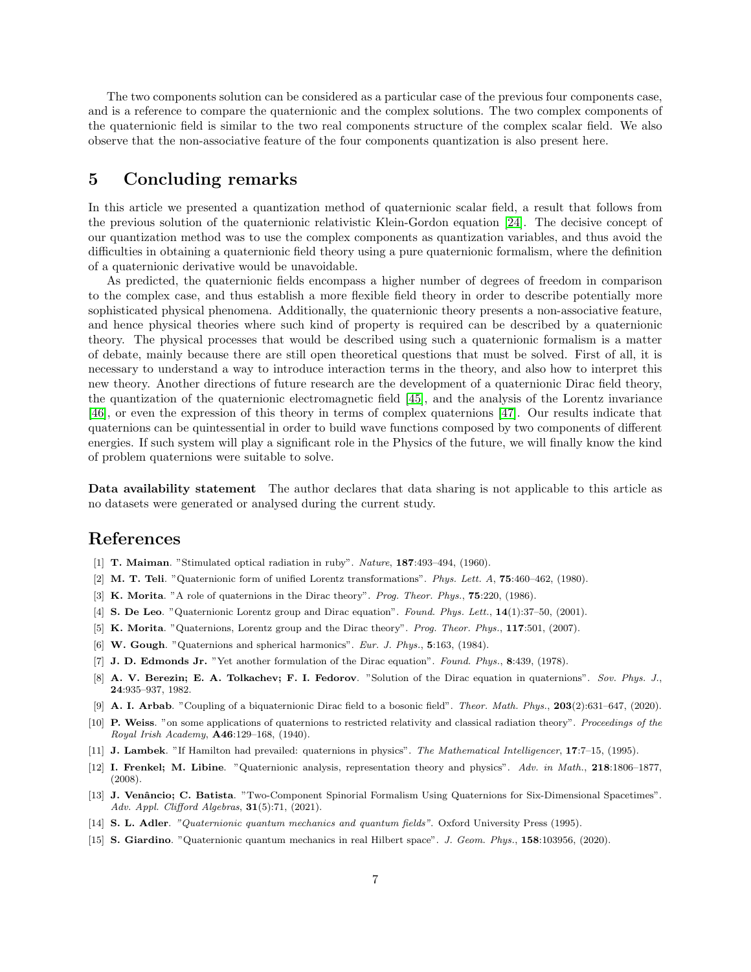The two components solution can be considered as a particular case of the previous four components case, and is a reference to compare the quaternionic and the complex solutions. The two complex components of the quaternionic field is similar to the two real components structure of the complex scalar field. We also observe that the non-associative feature of the four components quantization is also present here.

## 5 Concluding remarks

In this article we presented a quantization method of quaternionic scalar field, a result that follows from the previous solution of the quaternionic relativistic Klein-Gordon equation [\[24\]](#page-7-8). The decisive concept of our quantization method was to use the complex components as quantization variables, and thus avoid the difficulties in obtaining a quaternionic field theory using a pure quaternionic formalism, where the definition of a quaternionic derivative would be unavoidable.

As predicted, the quaternionic fields encompass a higher number of degrees of freedom in comparison to the complex case, and thus establish a more flexible field theory in order to describe potentially more sophisticated physical phenomena. Additionally, the quaternionic theory presents a non-associative feature, and hence physical theories where such kind of property is required can be described by a quaternionic theory. The physical processes that would be described using such a quaternionic formalism is a matter of debate, mainly because there are still open theoretical questions that must be solved. First of all, it is necessary to understand a way to introduce interaction terms in the theory, and also how to interpret this new theory. Another directions of future research are the development of a quaternionic Dirac field theory, the quantization of the quaternionic electromagnetic field [\[45\]](#page-7-29), and the analysis of the Lorentz invariance [\[46\]](#page-7-30), or even the expression of this theory in terms of complex quaternions [\[47\]](#page-7-31). Our results indicate that quaternions can be quintessential in order to build wave functions composed by two components of different energies. If such system will play a significant role in the Physics of the future, we will finally know the kind of problem quaternions were suitable to solve.

Data availability statement The author declares that data sharing is not applicable to this article as no datasets were generated or analysed during the current study.

# <span id="page-6-0"></span>References

- <span id="page-6-1"></span>[1] T. Maiman. "Stimulated optical radiation in ruby". Nature, 187:493–494, (1960).
- <span id="page-6-2"></span>[2] M. T. Teli. "Quaternionic form of unified Lorentz transformations". Phys. Lett. A, 75:460–462, (1980).
- <span id="page-6-3"></span>[3] K. Morita. "A role of quaternions in the Dirac theory". Prog. Theor. Phys., 75:220, (1986).
- <span id="page-6-4"></span>[4] S. De Leo. "Quaternionic Lorentz group and Dirac equation". Found. Phys. Lett., 14(1):37–50, (2001).
- <span id="page-6-5"></span>[5] K. Morita. "Quaternions, Lorentz group and the Dirac theory". Prog. Theor. Phys., 117:501, (2007).
- <span id="page-6-6"></span>[6] W. Gough. "Quaternions and spherical harmonics". Eur. J. Phys., 5:163, (1984).
- <span id="page-6-7"></span>[7] J. D. Edmonds Jr. "Yet another formulation of the Dirac equation". Found. Phys., 8:439, (1978).
- [8] A. V. Berezin; E. A. Tolkachev; F. I. Fedorov. "Solution of the Dirac equation in quaternions". Sov. Phys. J., 24:935–937, 1982.
- <span id="page-6-9"></span><span id="page-6-8"></span>[9] A. I. Arbab. "Coupling of a biquaternionic Dirac field to a bosonic field". Theor. Math. Phys., 203(2):631–647, (2020).
- [10] P. Weiss. "on some applications of quaternions to restricted relativity and classical radiation theory". Proceedings of the Royal Irish Academy, A46:129–168, (1940).
- <span id="page-6-11"></span><span id="page-6-10"></span>[11] J. Lambek. "If Hamilton had prevailed: quaternions in physics". The Mathematical Intelligencer, 17:7-15, (1995).
- [12] I. Frenkel; M. Libine. "Quaternionic analysis, representation theory and physics". Adv. in Math., 218:1806–1877, (2008).
- <span id="page-6-12"></span>[13] J. Venâncio; C. Batista. "Two-Component Spinorial Formalism Using Quaternions for Six-Dimensional Spacetimes". Adv. Appl. Clifford Algebras,  $31(5):71$ , (2021).
- <span id="page-6-14"></span><span id="page-6-13"></span>[14] S. L. Adler. "Quaternionic quantum mechanics and quantum fields". Oxford University Press (1995).
- [15] S. Giardino. "Quaternionic quantum mechanics in real Hilbert space". J. Geom. Phys., 158:103956, (2020).